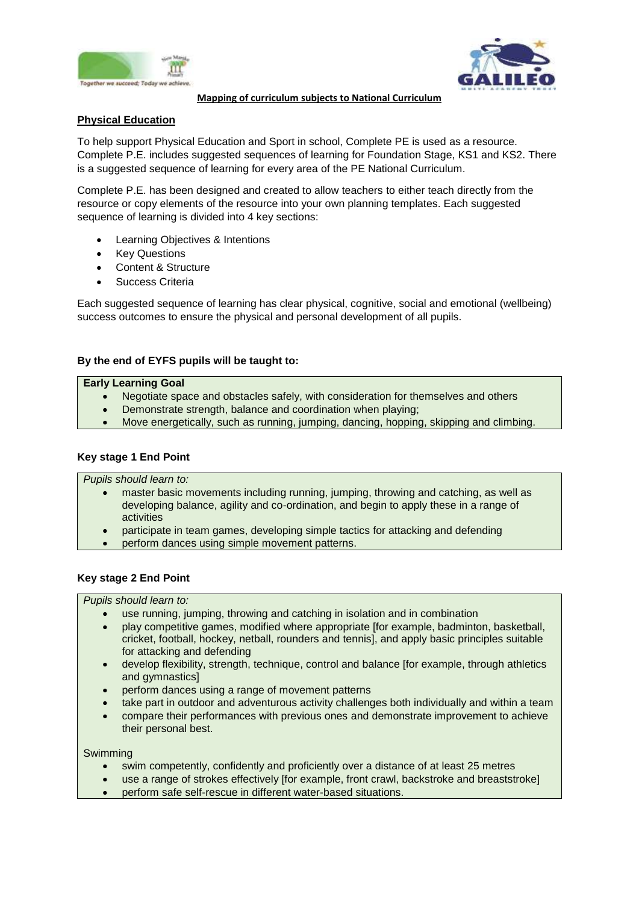



**Mapping of curriculum subjects to National Curriculum**

# **Physical Education**

To help support Physical Education and Sport in school, Complete PE is used as a resource. Complete P.E. includes suggested sequences of learning for Foundation Stage, KS1 and KS2. There is a suggested sequence of learning for every area of the PE National Curriculum.

Complete P.E. has been designed and created to allow teachers to either teach directly from the resource or copy elements of the resource into your own planning templates. Each suggested sequence of learning is divided into 4 key sections:

- Learning Objectives & Intentions
- Key Questions
- Content & Structure
- Success Criteria

Each suggested sequence of learning has clear physical, cognitive, social and emotional (wellbeing) success outcomes to ensure the physical and personal development of all pupils.

## **By the end of EYFS pupils will be taught to:**

#### **Early Learning Goal**

- Negotiate space and obstacles safely, with consideration for themselves and others
- Demonstrate strength, balance and coordination when playing;
- Move energetically, such as running, jumping, dancing, hopping, skipping and climbing.

### **Key stage 1 End Point**

*Pupils should learn to:* 

- master basic movements including running, jumping, throwing and catching, as well as developing balance, agility and co-ordination, and begin to apply these in a range of activities
- participate in team games, developing simple tactics for attacking and defending
- perform dances using simple movement patterns.

### **Key stage 2 End Point**

### *Pupils should learn to:*

- use running, jumping, throwing and catching in isolation and in combination
- play competitive games, modified where appropriate [for example, badminton, basketball, cricket, football, hockey, netball, rounders and tennis], and apply basic principles suitable for attacking and defending
- develop flexibility, strength, technique, control and balance [for example, through athletics and gymnastics]
- perform dances using a range of movement patterns
- take part in outdoor and adventurous activity challenges both individually and within a team
- compare their performances with previous ones and demonstrate improvement to achieve their personal best.

#### Swimming

- swim competently, confidently and proficiently over a distance of at least 25 metres
- use a range of strokes effectively [for example, front crawl, backstroke and breaststroke]
- perform safe self-rescue in different water-based situations.